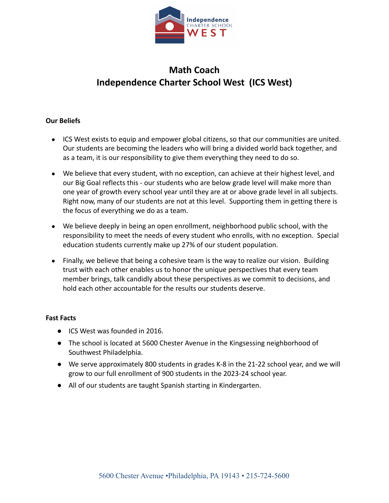

# **Math Coach Independence Charter School West (ICS West)**

## **Our Beliefs**

- ICS West exists to equip and empower global citizens, so that our communities are united. Our students are becoming the leaders who will bring a divided world back together, and as a team, it is our responsibility to give them everything they need to do so.
- We believe that every student, with no exception, can achieve at their highest level, and our Big Goal reflects this - our students who are below grade level will make more than one year of growth every school year until they are at or above grade level in all subjects. Right now, many of our students are not at this level. Supporting them in getting there is the focus of everything we do as a team.
- We believe deeply in being an open enrollment, neighborhood public school, with the responsibility to meet the needs of every student who enrolls, with no exception. Special education students currently make up 27% of our student population.
- Finally, we believe that being a cohesive team is the way to realize our vision. Building trust with each other enables us to honor the unique perspectives that every team member brings, talk candidly about these perspectives as we commit to decisions, and hold each other accountable for the results our students deserve.

#### **Fast Facts**

- ICS West was founded in 2016.
- The school is located at 5600 Chester Avenue in the Kingsessing neighborhood of Southwest Philadelphia.
- We serve approximately 800 students in grades K-8 in the 21-22 school year, and we will grow to our full enrollment of 900 students in the 2023-24 school year.
- All of our students are taught Spanish starting in Kindergarten.